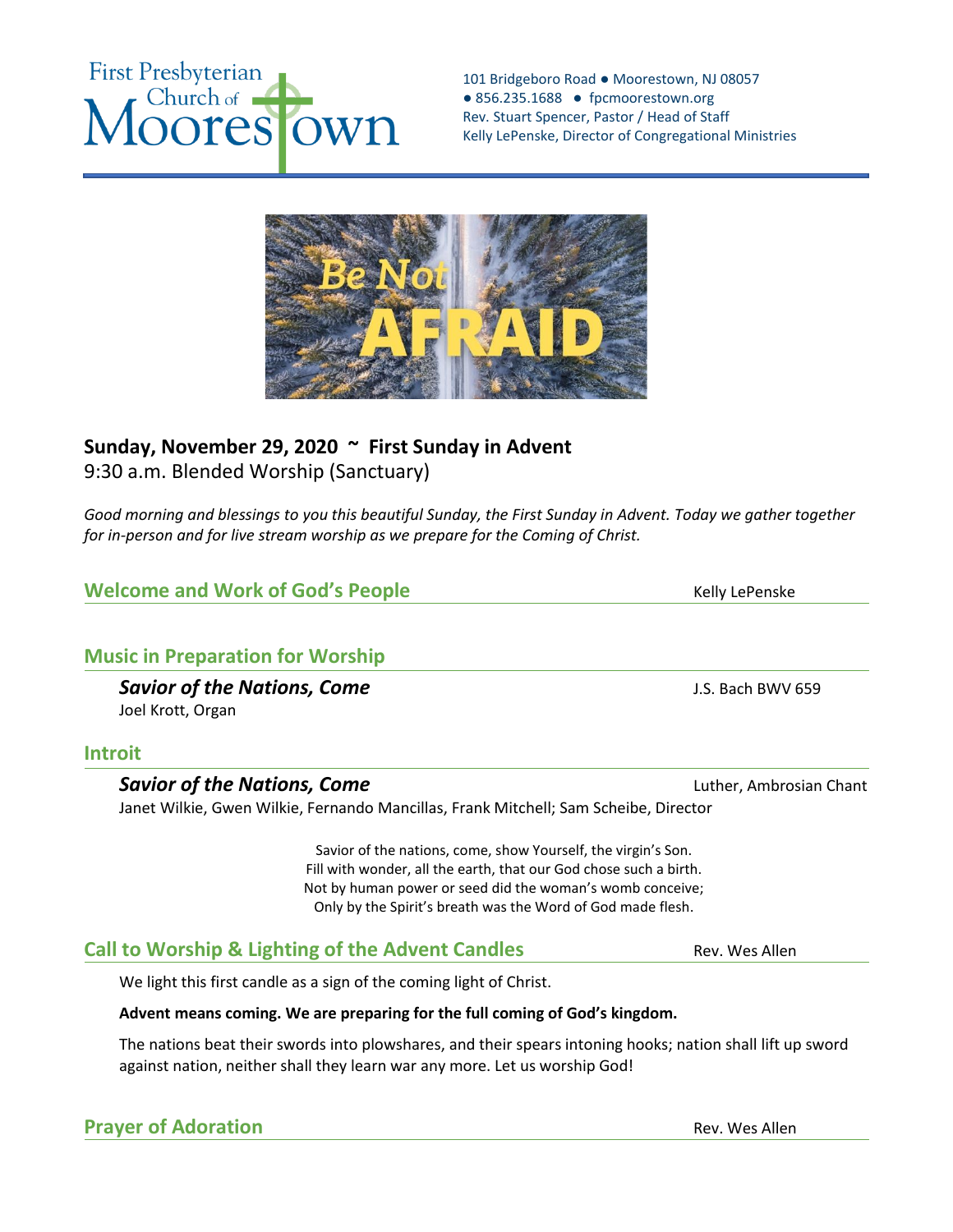#### 101 Bridgeboro Road ● Moorestown, NJ 08057 ● 856.235.1688 ● fpcmoorestown.org Rev. Stuart Spencer, Pastor / Head of Staff Kelly LePenske, Director of Congregational Ministries



# **Sunday, November 29, 2020 ~ First Sunday in Advent**  9:30 a.m. Blended Worship (Sanctuary)

*Good morning and blessings to you this beautiful Sunday, the First Sunday in Advent. Today we gather together for in-person and for live stream worship as we prepare for the Coming of Christ.* 

# **Welcome and Work of God's People** Manual Communist Relly LePenske

# **Music in Preparation for Worship**

**Savior of the Nations, Come Savior of the Nations, Come J.S. Bach BWV 659** Joel Krott, Organ

## **Introit**

## **Savior of the Nations, Come Luther, Ambrosian Chant Channel Channel Channel Channel Channel Channel Channel Channel Channel Channel Channel Channel Channel Channel Channel Channel Chann**

Janet Wilkie, Gwen Wilkie, Fernando Mancillas, Frank Mitchell; Sam Scheibe, Director

Savior of the nations, come, show Yourself, the virgin's Son. Fill with wonder, all the earth, that our God chose such a birth. Not by human power or seed did the woman's womb conceive; Only by the Spirit's breath was the Word of God made flesh.

# **Call to Worship & Lighting of the Advent Candles** Rev. Wes Allen

We light this first candle as a sign of the coming light of Christ.

## **Advent means coming. We are preparing for the full coming of God's kingdom.**

The nations beat their swords into plowshares, and their spears intoning hooks; nation shall lift up sword against nation, neither shall they learn war any more. Let us worship God!

# **Prayer of Adoration CONSERVIATE: Rev. Wes Allen**

**First Presbyterian** Church of Wh res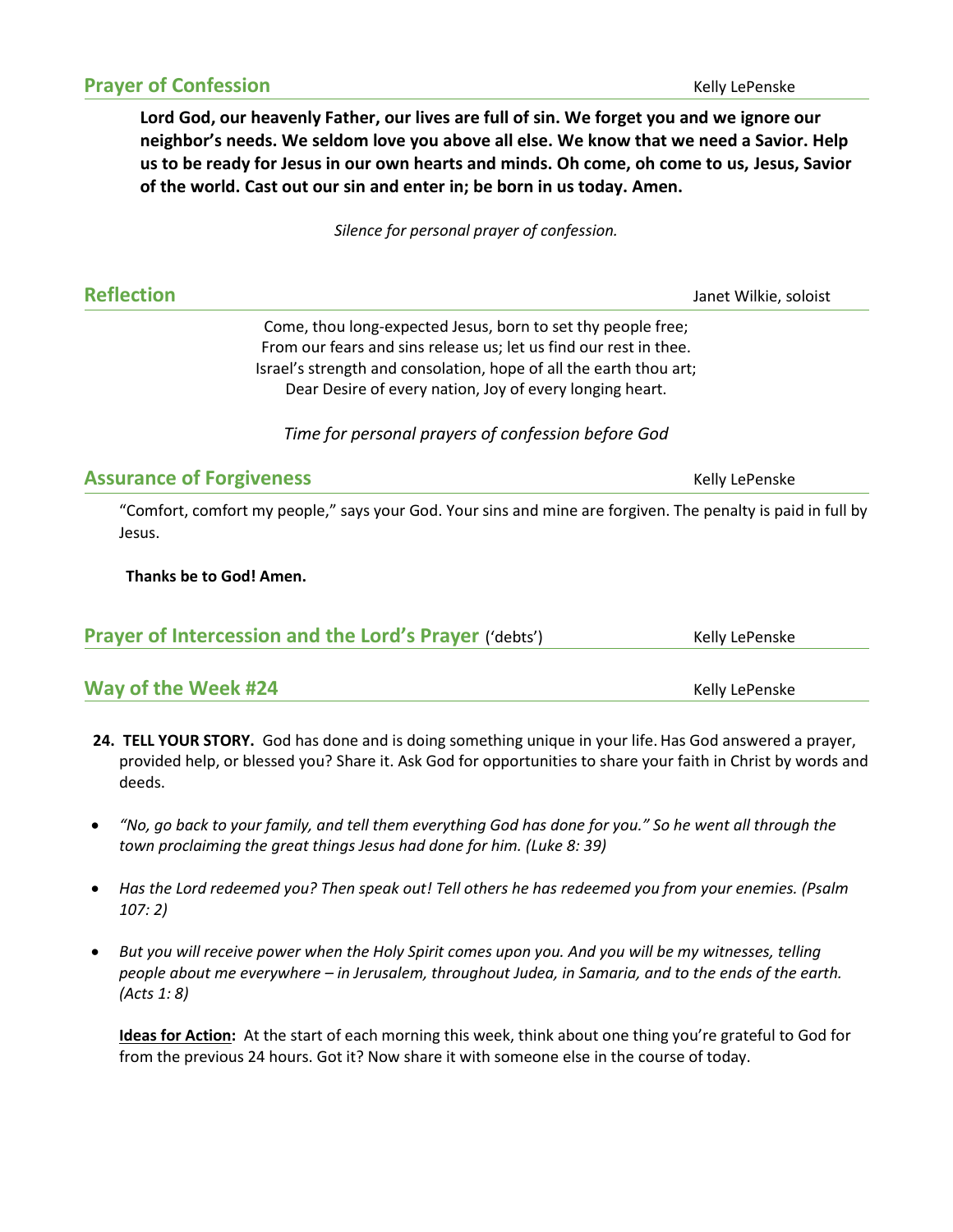**Lord God, our heavenly Father, our lives are full of sin. We forget you and we ignore our neighbor's needs. We seldom love you above all else. We know that we need a Savior. Help us to be ready for Jesus in our own hearts and minds. Oh come, oh come to us, Jesus, Savior of the world. Cast out our sin and enter in; be born in us today. Amen.** 

*Silence for personal prayer of confession.* 

**Reflection** Janet Wilkie, soloist

Come, thou long-expected Jesus, born to set thy people free; From our fears and sins release us; let us find our rest in thee. Israel's strength and consolation, hope of all the earth thou art; Dear Desire of every nation, Joy of every longing heart.

*Time for personal prayers of confession before God*

#### **Assurance of Forgiveness** Manual Community Community Religible Penske

"Comfort, comfort my people," says your God. Your sins and mine are forgiven. The penalty is paid in full by Jesus.

#### **Thanks be to God! Amen.**

| <b>Prayer of Intercession and the Lord's Prayer ('debts')</b> | Kelly LePenske |  |
|---------------------------------------------------------------|----------------|--|
|                                                               |                |  |
| Way of the Week #24                                           | Kelly LePenske |  |

- **24. TELL YOUR STORY.** God has done and is doing something unique in your life.Has God answered a prayer, provided help, or blessed you? Share it. Ask God for opportunities to share your faith in Christ by words and deeds.
- *"No, go back to your family, and tell them everything God has done for you." So he went all through the town proclaiming the great things Jesus had done for him. (Luke 8: 39)*
- *Has the Lord redeemed you? Then speak out! Tell others he has redeemed you from your enemies. (Psalm 107: 2)*
- *But you will receive power when the Holy Spirit comes upon you. And you will be my witnesses, telling people about me everywhere – in Jerusalem, throughout Judea, in Samaria, and to the ends of the earth. (Acts 1: 8)*

**Ideas for Action:** At the start of each morning this week, think about one thing you're grateful to God for from the previous 24 hours. Got it? Now share it with someone else in the course of today.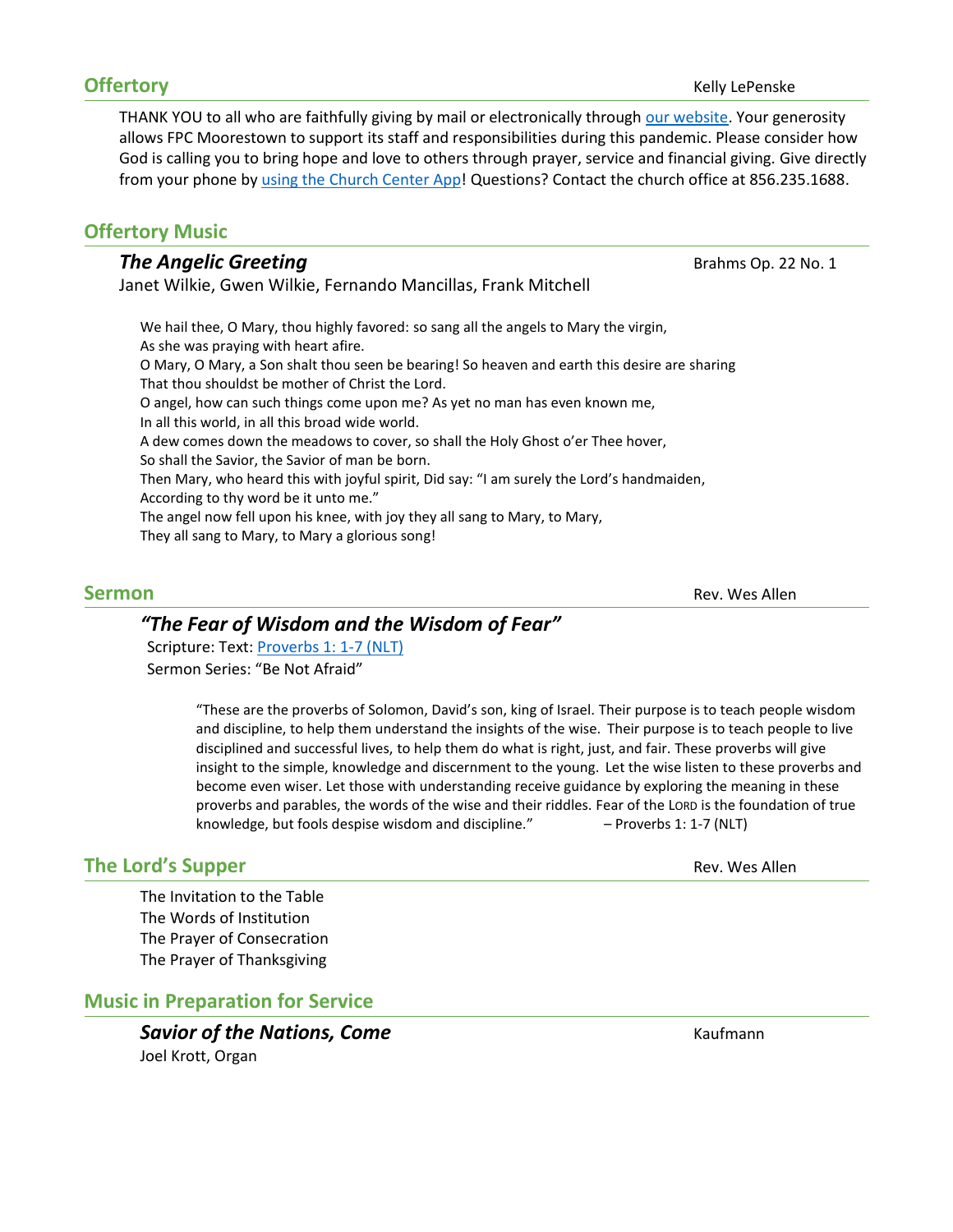THANK YOU to all who are faithfully giving by mail or electronically throug[h our website.](https://fpcmoorestown.churchcenter.com/giving) Your generosity allows FPC Moorestown to support its staff and responsibilities during this pandemic. Please consider how God is calling you to bring hope and love to others through prayer, service and financial giving. Give directly from your phone by using the [Church Center App!](https://fpcmoorestown.churchcenter.com/registrations/events/461665) Questions? Contact the church office at 856.235.1688.

## **Offertory Music**

#### **The Angelic Greeting Brahms Op. 22 No. 1**

Janet Wilkie, Gwen Wilkie, Fernando Mancillas, Frank Mitchell

We hail thee, O Mary, thou highly favored: so sang all the angels to Mary the virgin, As she was praying with heart afire. O Mary, O Mary, a Son shalt thou seen be bearing! So heaven and earth this desire are sharing That thou shouldst be mother of Christ the Lord. O angel, how can such things come upon me? As yet no man has even known me, In all this world, in all this broad wide world. A dew comes down the meadows to cover, so shall the Holy Ghost o'er Thee hover, So shall the Savior, the Savior of man be born. Then Mary, who heard this with joyful spirit, Did say: "I am surely the Lord's handmaiden, According to thy word be it unto me." The angel now fell upon his knee, with joy they all sang to Mary, to Mary, They all sang to Mary, to Mary a glorious song!

**Sermon** Rev. Wes Allen

## *"The Fear of Wisdom and the Wisdom of Fear"*

Scripture: Text: [Proverbs 1: 1-7 \(NLT\)](https://www.biblegateway.com/passage/?search=Proverbs+1%3A+1-7&version=NLT) Sermon Series: "Be Not Afraid"

> "These are the proverbs of Solomon, David's son, king of Israel. Their purpose is to teach people wisdom and discipline, to help them understand the insights of the wise. Their purpose is to teach people to live disciplined and successful lives, to help them do what is right, just, and fair. These proverbs will give insight to the simple, knowledge and discernment to the young. Let the wise listen to these proverbs and become even wiser. Let those with understanding receive guidance by exploring the meaning in these proverbs and parables, the words of the wise and their riddles. Fear of the LORD is the foundation of true knowledge, but fools despise wisdom and discipline." – Proverbs 1: 1-7 (NLT)

## **The Lord's Supper** Rev. Wes Allen

The Invitation to the Table The Words of Institution The Prayer of Consecration The Prayer of Thanksgiving

## **Music in Preparation for Service**

**Savior of the Nations, Come Come Come** Kaufmann Joel Krott, Organ